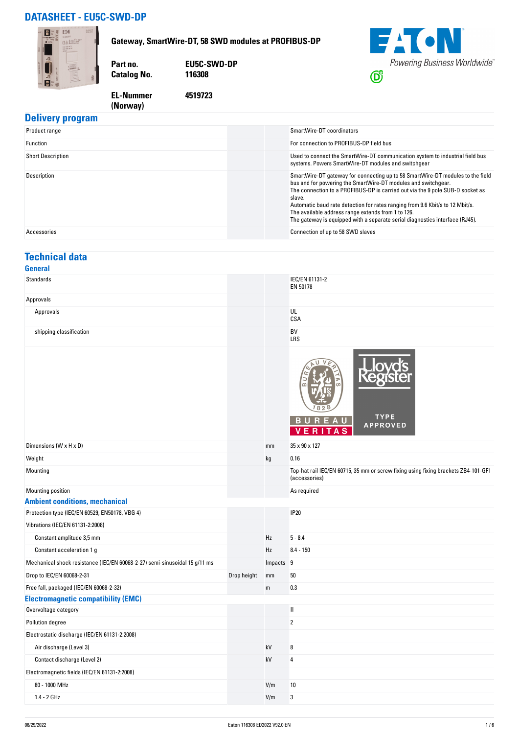## **DATASHEET - EU5C-SWD-DP**

**(Norway)** 



### **Delivery program**

| Product range            | SmartWire-DT coordinators                                                                                                                                                                                                                                                                                                                                                                                                                                         |
|--------------------------|-------------------------------------------------------------------------------------------------------------------------------------------------------------------------------------------------------------------------------------------------------------------------------------------------------------------------------------------------------------------------------------------------------------------------------------------------------------------|
| Function                 | For connection to PROFIBUS-DP field bus                                                                                                                                                                                                                                                                                                                                                                                                                           |
| <b>Short Description</b> | Used to connect the SmartWire-DT communication system to industrial field bus<br>systems. Powers SmartWire-DT modules and switchgear                                                                                                                                                                                                                                                                                                                              |
| Description              | SmartWire-DT gateway for connecting up to 58 SmartWire-DT modules to the field<br>bus and for powering the SmartWire-DT modules and switchgear.<br>The connection to a PROFIBUS-DP is carried out via the 9 pole SUB-D socket as<br>slave.<br>Automatic baud rate detection for rates ranging from 9.6 Kbit/s to 12 Mbit/s.<br>The available address range extends from 1 to 126.<br>The gateway is equipped with a separate serial diagnostics interface (RJ45). |
| Accessories              | Connection of up to 58 SWD slaves                                                                                                                                                                                                                                                                                                                                                                                                                                 |

#### **Technical data General**

| Standards                                                                  |             |             | IEC/EN 61131-2<br>EN 50178                                                                          |
|----------------------------------------------------------------------------|-------------|-------------|-----------------------------------------------------------------------------------------------------|
| Approvals                                                                  |             |             |                                                                                                     |
| Approvals                                                                  |             |             | UL<br>CSA                                                                                           |
| shipping classification                                                    |             |             | BV<br>LRS                                                                                           |
|                                                                            |             |             | <b>TYPE</b><br>B U<br>R.<br><b>APPROVED</b><br>A <sub>S</sub><br>E R<br>v                           |
| Dimensions (W x H x D)                                                     |             | mm          | 35 x 90 x 127                                                                                       |
| Weight                                                                     |             | kg          | 0.16                                                                                                |
| Mounting                                                                   |             |             | Top-hat rail IEC/EN 60715, 35 mm or screw fixing using fixing brackets ZB4-101-GF1<br>(accessories) |
| Mounting position                                                          |             |             | As required                                                                                         |
| <b>Ambient conditions, mechanical</b>                                      |             |             |                                                                                                     |
| Protection type (IEC/EN 60529, EN50178, VBG 4)                             |             |             | <b>IP20</b>                                                                                         |
| Vibrations (IEC/EN 61131-2:2008)                                           |             |             |                                                                                                     |
| Constant amplitude 3,5 mm                                                  |             | Hz          | $5 - 8.4$                                                                                           |
| Constant acceleration 1 g                                                  |             | Hz          | $8.4 - 150$                                                                                         |
| Mechanical shock resistance (IEC/EN 60068-2-27) semi-sinusoidal 15 g/11 ms |             | Impacts 9   |                                                                                                     |
| Drop to IEC/EN 60068-2-31                                                  | Drop height | mm          | 50                                                                                                  |
| Free fall, packaged (IEC/EN 60068-2-32)                                    |             | $\mathsf m$ | 0.3                                                                                                 |
| <b>Electromagnetic compatibility (EMC)</b>                                 |             |             |                                                                                                     |
| Overvoltage category                                                       |             |             | $\mathbf{I}$                                                                                        |
| Pollution degree                                                           |             |             | $\overline{2}$                                                                                      |
| Electrostatic discharge (IEC/EN 61131-2:2008)                              |             |             |                                                                                                     |
| Air discharge (Level 3)                                                    |             | kV          | 8                                                                                                   |
| Contact discharge (Level 2)                                                |             | kV          | 4                                                                                                   |
| Electromagnetic fields (IEC/EN 61131-2:2008)                               |             |             |                                                                                                     |
| 80 - 1000 MHz                                                              |             | V/m         | 10                                                                                                  |
| 1.4 - 2 GHz                                                                |             | V/m         | 3                                                                                                   |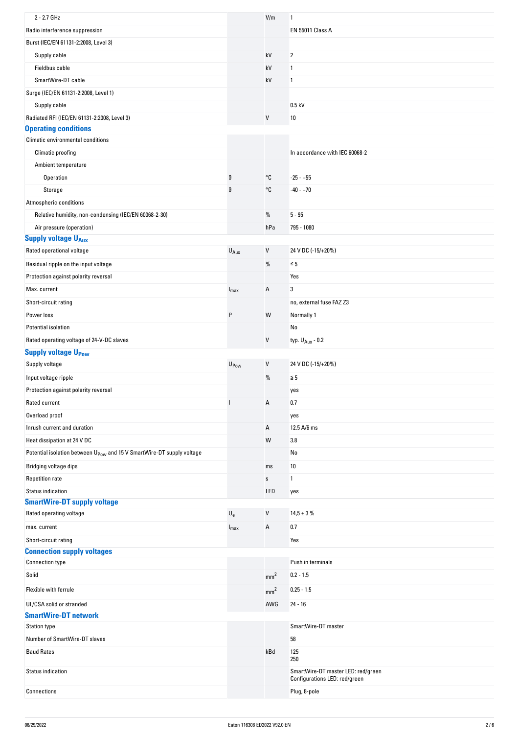| 2 - 2.7 GHz                                                                       |                           | V/m             | 1                                                                   |
|-----------------------------------------------------------------------------------|---------------------------|-----------------|---------------------------------------------------------------------|
| Radio interference suppression                                                    |                           |                 | <b>EN 55011 Class A</b>                                             |
| Burst (IEC/EN 61131-2:2008, Level 3)                                              |                           |                 |                                                                     |
| Supply cable                                                                      |                           | kV              | 2                                                                   |
| Fieldbus cable                                                                    |                           | kV              | 1                                                                   |
| SmartWire-DT cable                                                                |                           | kV              | 1                                                                   |
| Surge (IEC/EN 61131-2:2008, Level 1)                                              |                           |                 |                                                                     |
| Supply cable                                                                      |                           |                 | $0.5$ kV                                                            |
| Radiated RFI (IEC/EN 61131-2:2008, Level 3)                                       |                           | V               | 10                                                                  |
| <b>Operating conditions</b>                                                       |                           |                 |                                                                     |
| Climatic environmental conditions                                                 |                           |                 |                                                                     |
| Climatic proofing                                                                 |                           |                 | In accordance with IEC 60068-2                                      |
| Ambient temperature                                                               |                           |                 |                                                                     |
| Operation                                                                         | $\vartheta$               | °C              | $-25 - +55$                                                         |
| Storage                                                                           | $\vartheta$               | °C              | $-40 - +70$                                                         |
| Atmospheric conditions                                                            |                           |                 |                                                                     |
| Relative humidity, non-condensing (IEC/EN 60068-2-30)                             |                           | $\%$            | $5 - 95$                                                            |
| Air pressure (operation)                                                          |                           | hPa             | 795 - 1080                                                          |
| <b>Supply voltage UAux</b>                                                        |                           |                 |                                                                     |
| Rated operational voltage                                                         | $U_{Aux}$                 | $\sf V$         | 24 V DC (-15/+20%)                                                  |
| Residual ripple on the input voltage                                              |                           | %               | $\leq 5$                                                            |
| Protection against polarity reversal                                              |                           |                 | Yes                                                                 |
| Max. current                                                                      | $I_{\text{max}}$          | Α               | 3                                                                   |
| Short-circuit rating                                                              |                           |                 | no, external fuse FAZ Z3                                            |
| Power loss                                                                        | P                         | W               | Normally 1                                                          |
| Potential isolation                                                               |                           |                 | No                                                                  |
| Rated operating voltage of 24-V-DC slaves                                         |                           | V               |                                                                     |
|                                                                                   |                           |                 | typ. $U_{Aux}$ - 0.2                                                |
| <b>Supply voltage UPow</b><br>Supply voltage                                      |                           | V               | 24 V DC (-15/+20%)                                                  |
|                                                                                   | U <sub>Pow</sub>          |                 |                                                                     |
| Input voltage ripple                                                              |                           | $\%$            | $\leq 5$                                                            |
| Protection against polarity reversal                                              |                           |                 | yes                                                                 |
| Rated current                                                                     |                           | А               | 0.7                                                                 |
| Overload proof                                                                    |                           |                 | yes                                                                 |
| Inrush current and duration                                                       |                           | Α               | 12.5 A/6 ms                                                         |
| Heat dissipation at 24 V DC                                                       |                           | W               | 3.8                                                                 |
| Potential isolation between U <sub>Pow</sub> and 15 V SmartWire-DT supply voltage |                           |                 | No                                                                  |
| Bridging voltage dips                                                             |                           | ms              | 10                                                                  |
| <b>Repetition rate</b>                                                            |                           | $\mathbb S$     | 1                                                                   |
| <b>Status indication</b>                                                          |                           | LED             | yes                                                                 |
| <b>SmartWire-DT supply voltage</b>                                                |                           |                 |                                                                     |
| Rated operating voltage                                                           | $\mathsf{U}_{\mathsf{e}}$ | V               | $14,5 \pm 3 \%$                                                     |
| max. current                                                                      | $I_{\text{max}}$          | Α               | 0.7                                                                 |
| Short-circuit rating                                                              |                           |                 | Yes                                                                 |
| <b>Connection supply voltages</b>                                                 |                           |                 |                                                                     |
| <b>Connection type</b>                                                            |                           |                 | Push in terminals                                                   |
| Solid                                                                             |                           | mm <sup>2</sup> | $0.2 - 1.5$                                                         |
| Flexible with ferrule                                                             |                           | mm <sup>2</sup> | $0.25 - 1.5$                                                        |
| UL/CSA solid or stranded                                                          |                           | AWG             | $24 - 16$                                                           |
| <b>SmartWire-DT network</b>                                                       |                           |                 |                                                                     |
| <b>Station type</b>                                                               |                           |                 | SmartWire-DT master                                                 |
| Number of SmartWire-DT slaves                                                     |                           |                 | 58                                                                  |
| <b>Baud Rates</b>                                                                 |                           | kBd             | 125<br>250                                                          |
| Status indication                                                                 |                           |                 | SmartWire-DT master LED: red/green<br>Configurations LED: red/green |
| Connections                                                                       |                           |                 | Plug, 8-pole                                                        |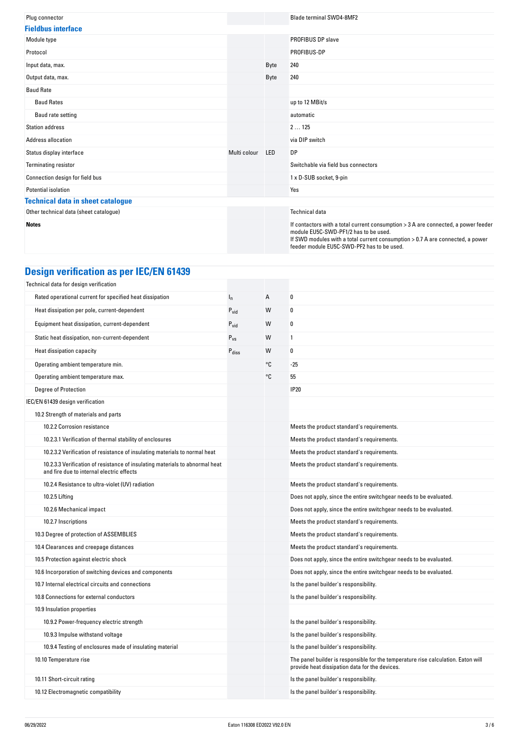| Plug connector                           |              |            | <b>Blade terminal SWD4-8MF2</b>                                                                                                                                                                                                                             |
|------------------------------------------|--------------|------------|-------------------------------------------------------------------------------------------------------------------------------------------------------------------------------------------------------------------------------------------------------------|
| <b>Fieldbus interface</b>                |              |            |                                                                                                                                                                                                                                                             |
| Module type                              |              |            | <b>PROFIBUS DP slave</b>                                                                                                                                                                                                                                    |
| Protocol                                 |              |            | PROFIBUS-DP                                                                                                                                                                                                                                                 |
| Input data, max.                         |              | Byte       | 240                                                                                                                                                                                                                                                         |
| Output data, max.                        |              | Byte       | 240                                                                                                                                                                                                                                                         |
| <b>Baud Rate</b>                         |              |            |                                                                                                                                                                                                                                                             |
| <b>Baud Rates</b>                        |              |            | up to 12 MBit/s                                                                                                                                                                                                                                             |
| Baud rate setting                        |              |            | automatic                                                                                                                                                                                                                                                   |
| <b>Station address</b>                   |              |            | 2125                                                                                                                                                                                                                                                        |
| Address allocation                       |              |            | via DIP switch                                                                                                                                                                                                                                              |
| Status display interface                 | Multi colour | <b>LED</b> | <b>DP</b>                                                                                                                                                                                                                                                   |
| <b>Terminating resistor</b>              |              |            | Switchable via field bus connectors                                                                                                                                                                                                                         |
| Connection design for field bus          |              |            | 1 x D-SUB socket, 9-pin                                                                                                                                                                                                                                     |
| Potential isolation                      |              |            | Yes                                                                                                                                                                                                                                                         |
| <b>Technical data in sheet catalogue</b> |              |            |                                                                                                                                                                                                                                                             |
| Other technical data (sheet catalogue)   |              |            | <b>Technical data</b>                                                                                                                                                                                                                                       |
| <b>Notes</b>                             |              |            | If contactors with a total current consumption > 3 A are connected, a power feeder<br>module EU5C-SWD-PF1/2 has to be used.<br>If SWD modules with a total current consumption > 0.7 A are connected, a power<br>feeder module EU5C-SWD-PF2 has to be used. |

# **Design verification as per IEC/EN 61439**

| Technical data for design verification                                                                                    |                   |    |                                                                                                                                     |
|---------------------------------------------------------------------------------------------------------------------------|-------------------|----|-------------------------------------------------------------------------------------------------------------------------------------|
| Rated operational current for specified heat dissipation                                                                  | $I_{n}$           | А  | 0                                                                                                                                   |
| Heat dissipation per pole, current-dependent                                                                              | $P_{vid}$         | W  | 0                                                                                                                                   |
| Equipment heat dissipation, current-dependent                                                                             | $P_{vid}$         | W  | 0                                                                                                                                   |
| Static heat dissipation, non-current-dependent                                                                            | $P_{VS}$          | W  | 1                                                                                                                                   |
| Heat dissipation capacity                                                                                                 | $P_{\text{diss}}$ | W  | 0                                                                                                                                   |
| Operating ambient temperature min.                                                                                        |                   | °C | $-25$                                                                                                                               |
| Operating ambient temperature max.                                                                                        |                   | °C | 55                                                                                                                                  |
| Degree of Protection                                                                                                      |                   |    | <b>IP20</b>                                                                                                                         |
| IEC/EN 61439 design verification                                                                                          |                   |    |                                                                                                                                     |
| 10.2 Strength of materials and parts                                                                                      |                   |    |                                                                                                                                     |
| 10.2.2 Corrosion resistance                                                                                               |                   |    | Meets the product standard's requirements.                                                                                          |
| 10.2.3.1 Verification of thermal stability of enclosures                                                                  |                   |    | Meets the product standard's requirements.                                                                                          |
| 10.2.3.2 Verification of resistance of insulating materials to normal heat                                                |                   |    | Meets the product standard's requirements.                                                                                          |
| 10.2.3.3 Verification of resistance of insulating materials to abnormal heat<br>and fire due to internal electric effects |                   |    | Meets the product standard's requirements.                                                                                          |
| 10.2.4 Resistance to ultra-violet (UV) radiation                                                                          |                   |    | Meets the product standard's requirements.                                                                                          |
| 10.2.5 Lifting                                                                                                            |                   |    | Does not apply, since the entire switchgear needs to be evaluated.                                                                  |
| 10.2.6 Mechanical impact                                                                                                  |                   |    | Does not apply, since the entire switchgear needs to be evaluated.                                                                  |
| 10.2.7 Inscriptions                                                                                                       |                   |    | Meets the product standard's requirements.                                                                                          |
| 10.3 Degree of protection of ASSEMBLIES                                                                                   |                   |    | Meets the product standard's requirements.                                                                                          |
| 10.4 Clearances and creepage distances                                                                                    |                   |    | Meets the product standard's requirements.                                                                                          |
| 10.5 Protection against electric shock                                                                                    |                   |    | Does not apply, since the entire switchgear needs to be evaluated.                                                                  |
| 10.6 Incorporation of switching devices and components                                                                    |                   |    | Does not apply, since the entire switchgear needs to be evaluated.                                                                  |
| 10.7 Internal electrical circuits and connections                                                                         |                   |    | Is the panel builder's responsibility.                                                                                              |
| 10.8 Connections for external conductors                                                                                  |                   |    | Is the panel builder's responsibility.                                                                                              |
| 10.9 Insulation properties                                                                                                |                   |    |                                                                                                                                     |
| 10.9.2 Power-frequency electric strength                                                                                  |                   |    | Is the panel builder's responsibility.                                                                                              |
| 10.9.3 Impulse withstand voltage                                                                                          |                   |    | Is the panel builder's responsibility.                                                                                              |
| 10.9.4 Testing of enclosures made of insulating material                                                                  |                   |    | Is the panel builder's responsibility.                                                                                              |
| 10.10 Temperature rise                                                                                                    |                   |    | The panel builder is responsible for the temperature rise calculation. Eaton will<br>provide heat dissipation data for the devices. |
| 10.11 Short-circuit rating                                                                                                |                   |    | Is the panel builder's responsibility.                                                                                              |
| 10.12 Electromagnetic compatibility                                                                                       |                   |    | Is the panel builder's responsibility.                                                                                              |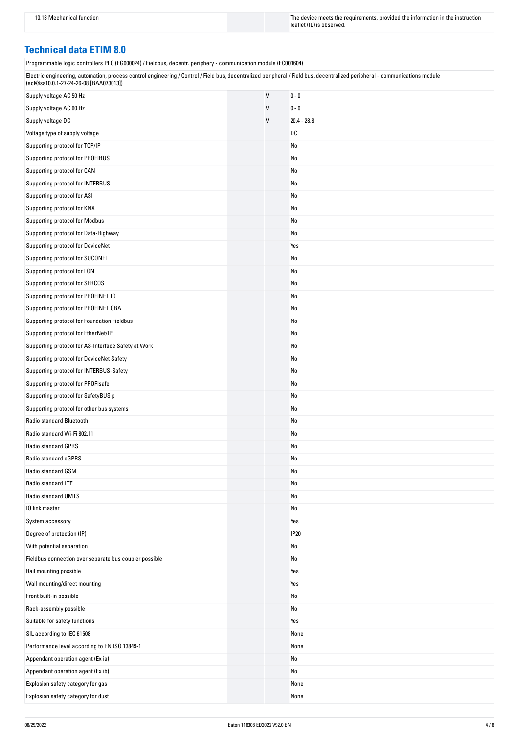10.13 Mechanical function The instruction The device meets the requirements, provided the information in the instruction leaflet (IL) is observed.

### **Technical data ETIM 8.0**

Programmable logic controllers PLC (EG000024) / Fieldbus, decentr. periphery - communication module (EC001604)

| Electric engineering, automation, process control engineering / Control / Field bus, decentralized peripheral / Field bus, decentralized peripheral - communications module<br>(ecl@ss10.0.1-27-24-26-08 [BAA073013]) |
|-----------------------------------------------------------------------------------------------------------------------------------------------------------------------------------------------------------------------|
|                                                                                                                                                                                                                       |

| Supply voltage AC 50 Hz                                | V            | $0 - 0$       |
|--------------------------------------------------------|--------------|---------------|
| Supply voltage AC 60 Hz                                | $\vee$       | $0 - 0$       |
| Supply voltage DC                                      | $\mathsf{V}$ | $20.4 - 28.8$ |
| Voltage type of supply voltage                         |              | DC            |
| Supporting protocol for TCP/IP                         |              | No            |
| Supporting protocol for PROFIBUS                       |              | No            |
| Supporting protocol for CAN                            |              | No            |
| Supporting protocol for INTERBUS                       |              | No            |
| Supporting protocol for ASI                            |              | No            |
| Supporting protocol for KNX                            |              | No            |
| Supporting protocol for Modbus                         |              | No            |
| Supporting protocol for Data-Highway                   |              | No            |
| Supporting protocol for DeviceNet                      |              | Yes           |
| Supporting protocol for SUCONET                        |              | No            |
| Supporting protocol for LON                            |              | No            |
| Supporting protocol for SERCOS                         |              | No            |
| Supporting protocol for PROFINET IO                    |              | No            |
| Supporting protocol for PROFINET CBA                   |              | No            |
| Supporting protocol for Foundation Fieldbus            |              | No            |
| Supporting protocol for EtherNet/IP                    |              | No            |
| Supporting protocol for AS-Interface Safety at Work    |              | No            |
| Supporting protocol for DeviceNet Safety               |              | No            |
| Supporting protocol for INTERBUS-Safety                |              | No            |
| Supporting protocol for PROFIsafe                      |              | No            |
| Supporting protocol for SafetyBUS p                    |              | No            |
| Supporting protocol for other bus systems              |              | No            |
| Radio standard Bluetooth                               |              | No            |
| Radio standard Wi-Fi 802.11                            |              | No            |
| <b>Radio standard GPRS</b>                             |              | No            |
| Radio standard eGPRS                                   |              | No            |
| Radio standard GSM                                     |              | No            |
| Radio standard LTE                                     |              | No            |
| Radio standard UMTS                                    |              | No            |
| 10 link master                                         |              | No            |
| System accessory                                       |              | Yes           |
| Degree of protection (IP)                              |              | <b>IP20</b>   |
| With potential separation                              |              | No            |
| Fieldbus connection over separate bus coupler possible |              | No            |
| Rail mounting possible                                 |              | Yes           |
| Wall mounting/direct mounting                          |              | Yes           |
| Front built-in possible                                |              | No            |
| Rack-assembly possible                                 |              | No            |
| Suitable for safety functions                          |              | Yes           |
| SIL according to IEC 61508                             |              | None          |
| Performance level according to EN ISO 13849-1          |              | None          |
| Appendant operation agent (Ex ia)                      |              | No            |
| Appendant operation agent (Ex ib)                      |              | No            |
| Explosion safety category for gas                      |              | None          |
| Explosion safety category for dust                     |              | None          |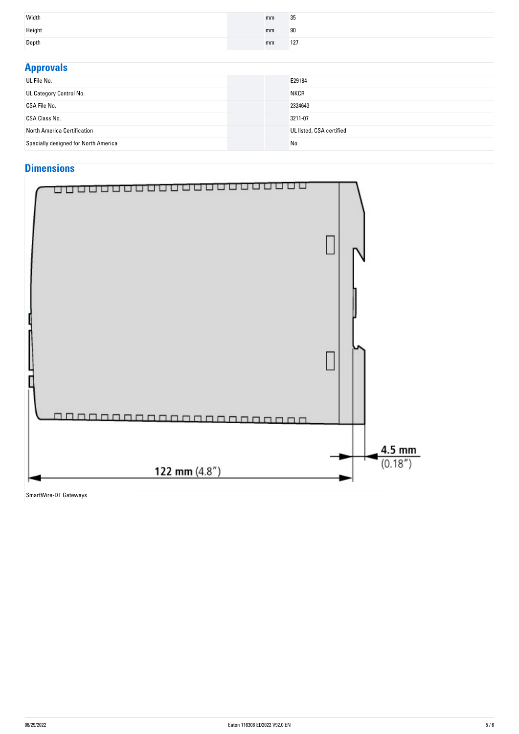| Width  | mm | 35  |
|--------|----|-----|
| Height | mm | 90  |
| Depth  | mm | 127 |

| <b>Approvals</b>                     |                          |  |  |
|--------------------------------------|--------------------------|--|--|
| UL File No.                          | E29184                   |  |  |
| UL Category Control No.              | <b>NKCR</b>              |  |  |
| CSA File No.                         | 2324643                  |  |  |
| CSA Class No.                        | 3211-07                  |  |  |
| North America Certification          | UL listed, CSA certified |  |  |
| Specially designed for North America | No                       |  |  |

## **Dimensions**



SmartWire-DT Gateways